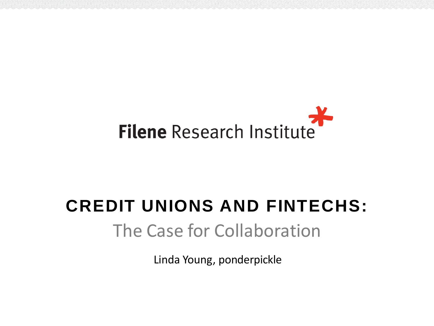

# **CREDIT UNIONS AND FINTECHS:** The Case for Collaboration

Linda Young, ponderpickle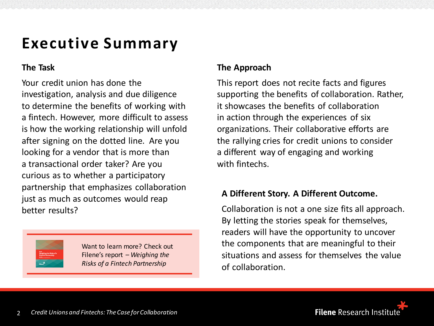#### **Executive Summary**

#### **The Task**

Your credit union has done the investigation, analysis and due diligence to determine the benefits of working with a fintech. However, more difficult to assess is how the working relationship will unfold after signing on the dotted line. Are you looking for a vendor that is more than a transactional order taker? Are you curious as to whether a participatory partnership that emphasizes collaboration just as much as outcomes would reap better results?



Want to learn more? Check out Filene's report – *Weighing the Risks of a Fintech Partnership*

#### **The Approach**

This report does not recite facts and figures supporting the benefits of collaboration. Rather, it showcases the benefits of collaboration in action through the experiences of six organizations. Their collaborative efforts are the rallying cries for credit unions to consider a different way of engaging and working with fintechs.

#### **A Different Story. A Different Outcome.**

Collaboration is not a one size fits all approach. By letting the stories speak for themselves, readers will have the opportunity to uncover the components that are meaningful to their situations and assess for themselves the value of collaboration.

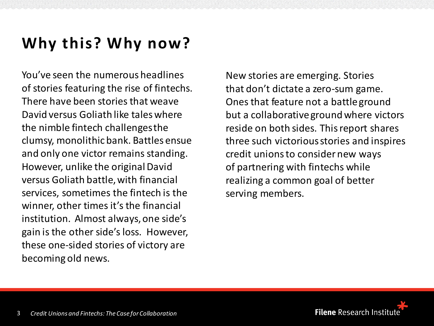### **Why this? Why now?**

You've seen the numerous headlines of stories featuring the rise of fintechs. There have been stories that weave David versus Goliath like tales where the nimble fintech challenges the clumsy, monolithic bank. Battles ensue and only one victor remains standing. However, unlike the original David versus Goliath battle, with financial services, sometimes the fintech is the winner, other times it's the financial institution. Almost always, one side's gain is the other side's loss. However, these one-sided stories of victory are becoming old news.

New stories are emerging. Stories that don't dictate a zero-sum game. Ones that feature not a battle ground but a collaborative ground where victors reside on both sides. This report shares three such victorious stories and inspires credit unions to consider new ways of partnering with fintechs while realizing a common goal of better serving members.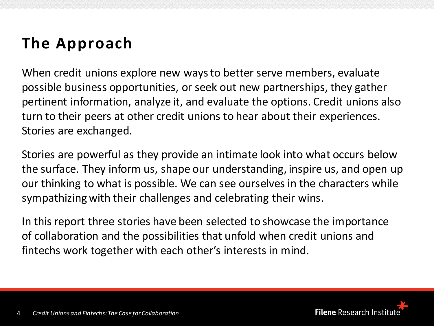### **The Approach**

When credit unions explore new ways to better serve members, evaluate possible business opportunities, or seek out new partnerships, they gather pertinent information, analyze it, and evaluate the options. Credit unions also turn to their peers at other credit unions to hear about their experiences. Stories are exchanged.

Stories are powerful as they provide an intimate look into what occurs below the surface. They inform us, shape our understanding, inspire us, and open up our thinking to what is possible. We can see ourselves in the characters while sympathizing with their challenges and celebrating their wins.

In this report three stories have been selected to showcase the importance of collaboration and the possibilities that unfold when credit unions and fintechs work together with each other's interests in mind.

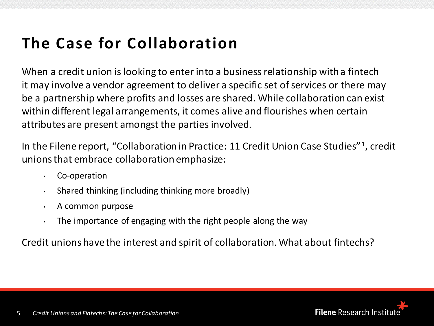### **The Case for Collaboration**

When a credit union is looking to enter into a business relationship with a fintech it may involve a vendor agreement to deliver a specific set of services or there may be a partnership where profits and losses are shared. While collaboration can exist within different legal arrangements, it comes alive and flourishes when certain attributes are present amongst the parties involved.

In the Filene report, "Collaboration in Practice: 11 Credit Union Case Studies"<sup>1</sup>, credit unions that embrace collaboration emphasize:

- Co-operation
- Shared thinking (including thinking more broadly)
- A common purpose
- The importance of engaging with the right people along the way

Credit unions have the interest and spirit of collaboration. What about fintechs?

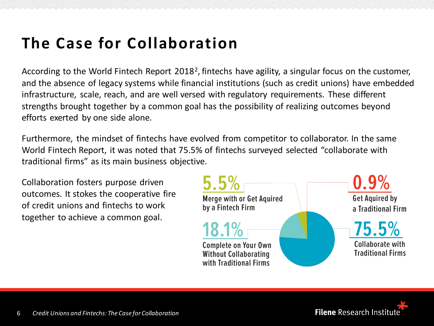#### **The Case for Collaboration**

According to the World Fintech Report 2018<sup>2</sup>, fintechs have agility, a singular focus on the customer, and the absence of legacy systems while financial institutions (such as credit unions) have embedded infrastructure, scale, reach, and are well versed with regulatory requirements. These different strengths brought together by a common goal has the possibility of realizing outcomes beyond efforts exerted by one side alone.

Furthermore, the mindset of fintechs have evolved from competitor to collaborator. In the same World Fintech Report, it was noted that 75.5% of fintechs surveyed selected "collaborate with traditional firms" as its main business objective.

Collaboration fosters purpose driven outcomes. It stokes the cooperative fire of credit unions and fintechs to work together to achieve a common goal.

Merge with or Get Aquired **Get Aquired by** by a Fintech Firm a Traditional Firm 18.1% **Collaborate with Complete on Your Own Traditional Firms Without Collaborating** with Traditional Firms

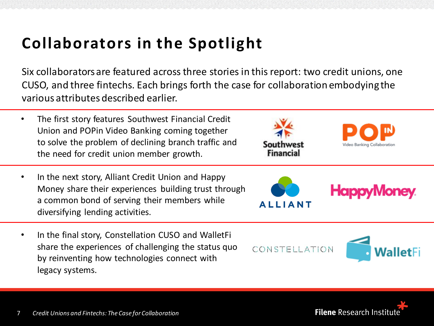#### **Collaborators in the Spotlight**

Six collaborators are featured across three stories in this report: two credit unions, one CUSO, and three fintechs. Each brings forth the case for collaboration embodying the various attributes described earlier.

- The first story features Southwest Financial Credit Union and POPin Video Banking coming together to solve the problem of declining branch traffic and the need for credit union member growth.
- In the next story, Alliant Credit Union and Happy Money share their experiences building trust through a common bond of serving their members while diversifying lending activities.
- In the final story, Constellation CUSO and WalletFi share the experiences of challenging the status quo by reinventing how technologies connect with legacy systems.





CONSTELLATION







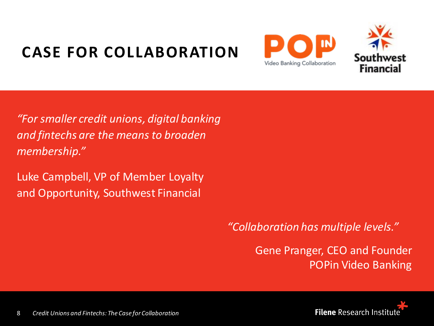### **CASE FOR COLLABORATION**





*"For smaller credit unions, digital banking and fintechs are the means to broaden membership."*

Luke Campbell, VP of Member Loyalty and Opportunity, Southwest Financial

*"Collaboration has multiple levels."*

Gene Pranger, CEO and Founder POPin Video Banking

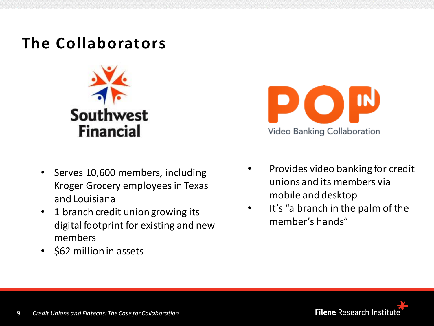#### **The Collaborators**



Video Banking Collaboration

- Serves 10,600 members, including Kroger Grocery employees in Texas and Louisiana
- 1 branch credit union growing its digital footprint for existing and new members
- \$62 million in assets
- Provides video banking for credit unions and its members via mobile and desktop
- It's "a branch in the palm of the member's hands"

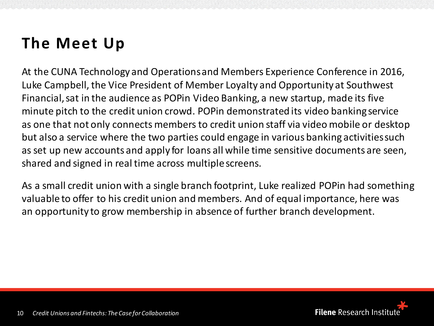#### **The Meet Up**

At the CUNA Technology and Operations and Members Experience Conference in 2016, Luke Campbell, the Vice President of Member Loyalty and Opportunity at Southwest Financial, sat in the audience as POPin Video Banking, a new startup, made its five minute pitch to the credit union crowd. POPin demonstrated its video banking service as one that not only connects members to credit union staff via video mobile or desktop but also a service where the two parties could engage in various banking activities such as set up new accounts and apply for loans all while time sensitive documents are seen, shared and signed in real time across multiple screens.

As a small credit union with a single branch footprint, Luke realized POPin had something valuable to offer to his credit union and members. And of equal importance, here was an opportunity to grow membership in absence of further branch development.

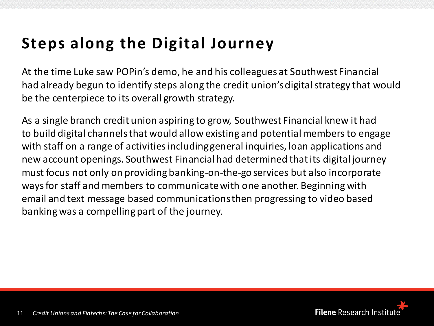#### **Steps along the Digital Journey**

At the time Luke saw POPin's demo, he and his colleagues at Southwest Financial had already begun to identify steps along the credit union's digital strategy that would be the centerpiece to its overall growth strategy.

As a single branch credit union aspiring to grow, Southwest Financial knew it had to build digital channels that would allow existing and potential members to engage with staff on a range of activities including general inquiries, loan applications and new account openings. Southwest Financial had determined that its digital journey must focus not only on providing banking-on-the-go services but also incorporate ways for staff and members to communicate with one another. Beginning with email and text message based communications then progressing to video based banking was a compelling part of the journey.

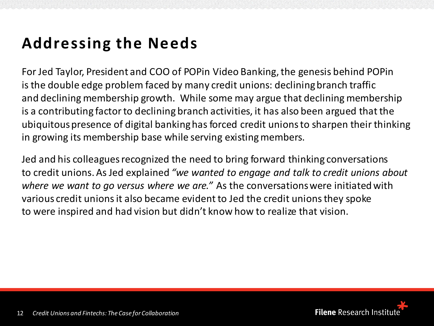#### **Addressing the Needs**

For Jed Taylor, President and COO of POPin Video Banking, the genesis behind POPin is the double edge problem faced by many credit unions: declining branch traffic and declining membership growth. While some may argue that declining membership is a contributing factor to declining branch activities, it has also been argued that the ubiquitous presence of digital banking has forced credit unions to sharpen their thinking in growing its membership base while serving existing members.

Jed and his colleagues recognized the need to bring forward thinking conversations to credit unions. As Jed explained *"we wanted to engage and talk to credit unions about where we want to go versus where we are."* As the conversations were initiated with various credit unions it also became evident to Jed the credit unions they spoke to were inspired and had vision but didn't know how to realize that vision.

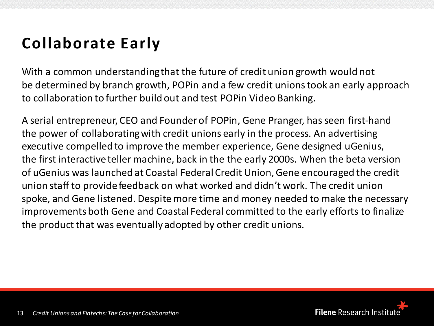### **Collaborate Early**

With a common understanding that the future of credit union growth would not be determined by branch growth, POPin and a few credit unions took an early approach to collaboration to further build out and test POPin Video Banking.

A serial entrepreneur, CEO and Founder of POPin, Gene Pranger, has seen first-hand the power of collaborating with credit unions early in the process. An advertising executive compelled to improve the member experience, Gene designed uGenius, the first interactive teller machine, back in the the early 2000s. When the beta version of uGenius was launched at Coastal Federal Credit Union, Gene encouraged the credit union staff to provide feedback on what worked and didn't work. The credit union spoke, and Gene listened. Despite more time and money needed to make the necessary improvements both Gene and Coastal Federal committed to the early efforts to finalize the product that was eventually adopted by other credit unions.

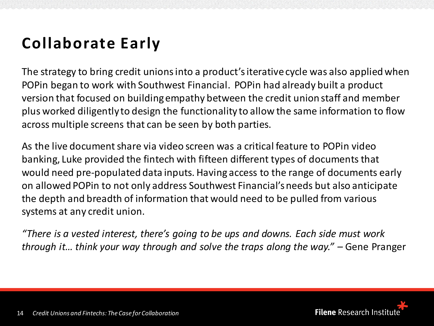### **Collaborate Early**

The strategy to bring credit unions into a product's iterative cycle was also applied when POPin began to work with Southwest Financial. POPin had already built a product version that focused on building empathy between the credit union staff and member plus worked diligently to design the functionality to allow the same information to flow across multiple screens that can be seen by both parties.

As the live document share via video screen was a critical feature to POPin video banking, Luke provided the fintech with fifteen different types of documents that would need pre-populated data inputs. Having access to the range of documents early on allowed POPin to not only address Southwest Financial'sneeds but also anticipate the depth and breadth of information that would need to be pulled from various systems at any credit union.

*"There is a vested interest, there's going to be ups and downs. Each side must work through it… think your way through and solve the traps along the way." –* Gene Pranger

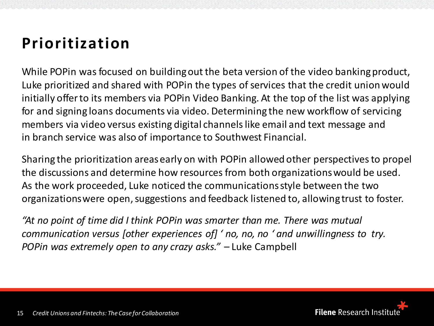### **Prioritization**

While POPin was focused on building out the beta version of the video banking product, Luke prioritized and shared with POPin the types of services that the credit union would initially offer to its members via POPin Video Banking. At the top of the list was applying for and signing loans documents via video. Determining the new workflow of servicing members via video versus existing digital channels like email and text message and in branch service was also of importance to Southwest Financial.

Sharing the prioritization areas early on with POPin allowed other perspectives to propel the discussions and determine how resources from both organizations would be used. As the work proceeded, Luke noticed the communications style between the two organizations were open, suggestions and feedback listened to, allowing trust to foster.

*"At no point of time did I think POPin was smarter than me. There was mutual communication versus [other experiences of] ' no, no, no ' and unwillingness to try. POPin was extremely open to any crazy asks." –* Luke Campbell

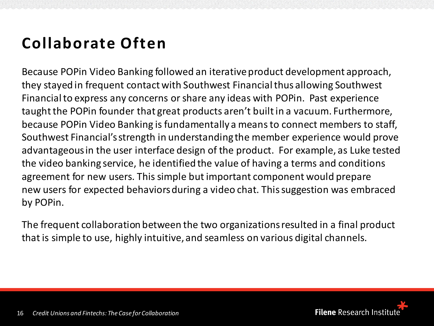#### **Collaborate Often**

Because POPin Video Banking followed an iterative product development approach, they stayed in frequent contact with Southwest Financial thus allowing Southwest Financial to express any concerns or share any ideas with POPin. Past experience taught the POPin founder that great products aren't built in a vacuum. Furthermore, because POPin Video Banking is fundamentally a means to connect members to staff, Southwest Financial'sstrength in understanding the member experience would prove advantageous in the user interface design of the product. For example, as Luke tested the video banking service, he identified the value of having a terms and conditions agreement for new users. This simple but important component would prepare new users for expected behaviors during a video chat. This suggestion was embraced by POPin.

The frequent collaboration between the two organizations resulted in a final product that is simple to use, highly intuitive, and seamless on various digital channels.

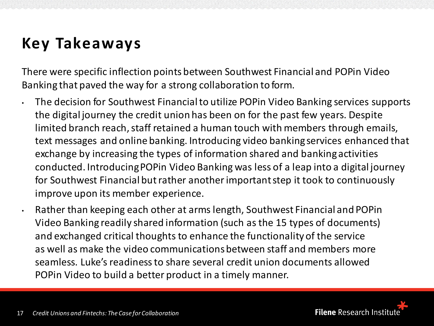### **Key Takeaways**

There were specific inflection points between Southwest Financial and POPin Video Banking that paved the way for a strong collaboration to form.

- The decision for Southwest Financial to utilize POPin Video Banking services supports the digital journey the credit union has been on for the past few years. Despite limited branch reach, staff retained a human touch with members through emails, text messages and online banking. Introducing video banking services enhanced that exchange by increasing the types of information shared and banking activities conducted. Introducing POPin Video Banking was less of a leap into a digital journey for Southwest Financial but rather another important step it took to continuously improve upon its member experience.
	- Rather than keeping each other at arms length, Southwest Financial and POPin Video Banking readily shared information (such as the 15 types of documents) and exchanged critical thoughts to enhance the functionality of the service as well as make the video communications between staff and members more seamless. Luke's readiness to share several credit union documents allowed POPin Video to build a better product in a timely manner.

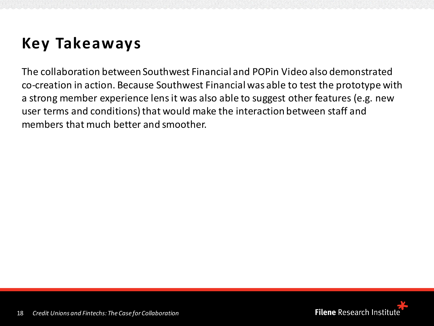### **Key Takeaways**

The collaboration between Southwest Financial and POPin Video also demonstrated co-creation in action. Because Southwest Financial was able to test the prototype with a strong member experience lens it was also able to suggest other features (e.g. new user terms and conditions) that would make the interaction between staff and members that much better and smoother.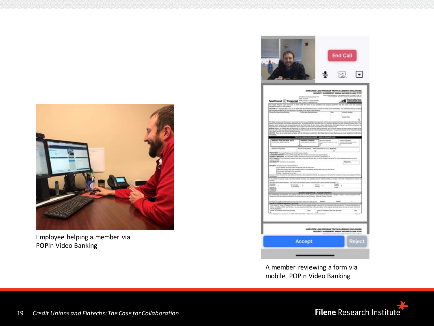

Employee helping a member via POPin Video Banking

| ۰                                                                                                                                                                                                                                |                                                |                                                                                | <b>End Call</b>                                                                                   |                  |
|----------------------------------------------------------------------------------------------------------------------------------------------------------------------------------------------------------------------------------|------------------------------------------------|--------------------------------------------------------------------------------|---------------------------------------------------------------------------------------------------|------------------|
|                                                                                                                                                                                                                                  |                                                | $\frac{1}{2}$                                                                  | $\mathbb{R}$                                                                                      | $\left[\right.$  |
| Southwest @ Financial Netherly<br>$8.5 - 24$<br><b>With it is a countries that the</b><br>the affordable endeating to the decisionship are against the determinant and any other determinant that the process of the against the | MA TCTM                                        | u                                                                              | MELVISTY AUREENENT SINGLE ADVANCE LISAN TYPE                                                      | <b>Constants</b> |
| as hanges and Disman a half-old fire<br><b>WINNER</b><br><b>HARL FLAUSTRIERS</b>                                                                                                                                                 | <b>R.Adwright</b>                              |                                                                                |                                                                                                   |                  |
|                                                                                                                                                                                                                                  | <b>Wind</b>                                    | cron in La Natina                                                              | s                                                                                                 |                  |
| m.<br><b>Futurist</b><br>$-0.004$<br>III per segal ad local dans we haven                                                                                                                                                        |                                                |                                                                                | <b>Titul</b>                                                                                      |                  |
| Science provide the for business policy and with plan<br>Chiko shareh published it for transpirer<br><b>COST</b>                                                                                                                 |                                                | 出<br>$\lambda$                                                                 | $\frac{1}{2}$                                                                                     |                  |
| and of Scholars Signalise (Insulated) (2) is the control of Control of the control<br>with Great all charges that the Second by the collection<br>Date of Library District Server.                                               | the air principal couple of<br>-----<br>$\sim$ | <b>Partiact or permits by</b><br>----<br>Time of Connect Dist for Borough<br>× | <b>COLLEGE</b><br>di kan alkana. Kins an sufarikaling is<br>And dalam ant us an lount-sity to fin | $\frac{1}{2}$    |
|                                                                                                                                                                                                                                  |                                                |                                                                                | (DRUML/JOHN DRUGLANDST/VICE/THERE AND CONTAINS)<br>2477 PALL/JOHNVOL SJONNY THROUGHLA FTWILLIDG   |                  |
|                                                                                                                                                                                                                                  | Accept                                         |                                                                                |                                                                                                   | Reject           |

A member reviewing a form via mobile POPin Video Banking

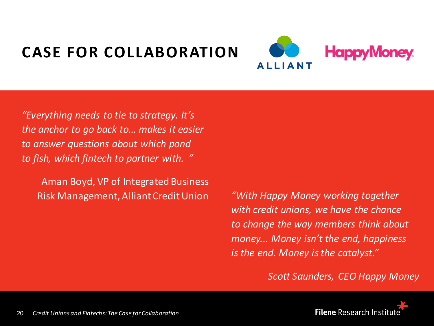### **CASE FOR COLLABORATION**



*"Everything needs to tie to strategy. It's the anchor to go back to… makes it easier to answer questions about which pond to fish, which fintech to partner with. "*

Aman Boyd, VP of Integrated Business Risk Management, Alliant Credit Union

*"With Happy Money working together with credit unions, we have the chance to change the way members think about money... Money isn't the end, happiness is the end. Money is the catalyst."*

*Scott Saunders, CEO Happy Money*

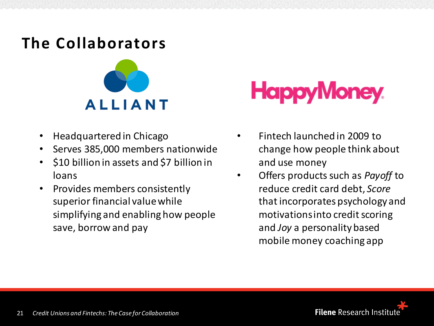#### **The Collaborators**



- Headquartered in Chicago
- Serves 385,000 members nationwide
- \$10 billion in assets and \$7 billion in loans
- Provides members consistently superior financial value while simplifying and enabling how people save, borrow and pay

# **HappyMoney.**

- Fintech launched in 2009 to change how people think about and use money
- Offers products such as *Payoff* to reduce credit card debt, *Score* that incorporates psychology and motivations into credit scoring and *Joy* a personality based mobile money coaching app

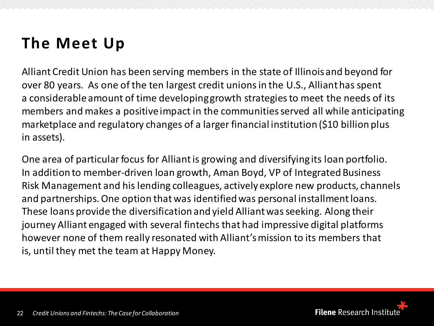#### **The Meet Up**

Alliant Credit Union has been serving members in the state of Illinois and beyond for over 80 years. As one of the ten largest credit unions in the U.S., Alliant has spent a considerable amount of time developing growth strategies to meet the needs of its members and makes a positive impact in the communities served all while anticipating marketplace and regulatory changes of a larger financial institution (\$10 billion plus in assets).

One area of particular focus for Alliant is growing and diversifying its loan portfolio. In addition to member-driven loan growth, Aman Boyd, VP of Integrated Business Risk Management and his lending colleagues, actively explore new products, channels and partnerships. One option that was identified was personal installment loans. These loans provide the diversification and yield Alliant was seeking. Along their journey Alliant engaged with several fintechs that had impressive digital platforms however none of them really resonated with Alliant's mission to its members that is, until they met the team at Happy Money.

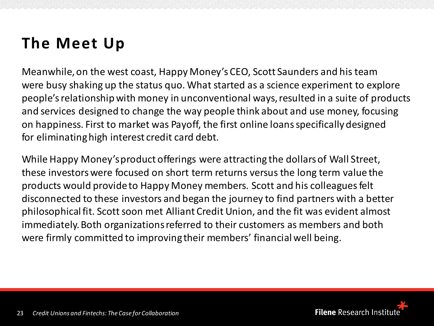#### **The Meet Up**

Meanwhile, on the west coast, Happy Money's CEO, Scott Saunders and his team were busy shaking up the status quo. What started as a science experiment to explore people's relationship with money in unconventional ways, resulted in a suite of products and services designed to change the way people think about and use money, focusing on happiness. First to market was Payoff, the first online loans specifically designed for eliminating high interest credit card debt.

While Happy Money's product offerings were attracting the dollars of Wall Street, these investors were focused on short term returns versus the long term value the products would provide to Happy Money members. Scott and his colleagues felt disconnected to these investors and began the journey to find partners with a better philosophical fit. Scott soon met Alliant Credit Union, and the fit was evident almost immediately. Both organizations referred to their customers as members and both were firmly committed to improving their members' financial well being.

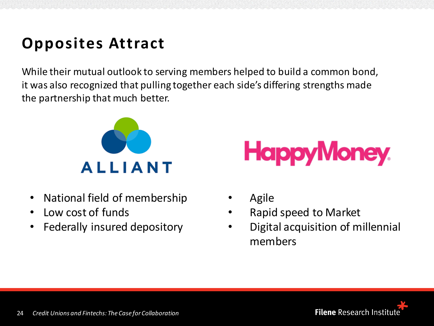### **Opposites Attract**

While their mutual outlook to serving members helped to build a common bond, it was also recognized that pulling together each side's differing strengths made the partnership that much better.



- National field of membership
- Low cost of funds
- Federally insured depository



- Agile
- Rapid speed to Market
- Digital acquisition of millennial members

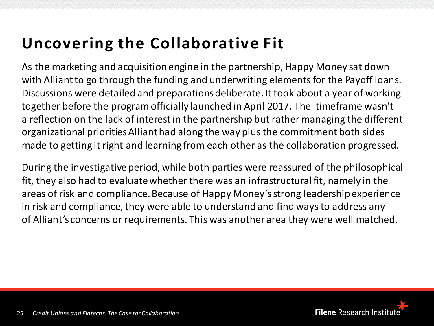#### **Uncovering the Collaborative Fit**

As the marketing and acquisition engine in the partnership, Happy Money sat down with Alliant to go through the funding and underwriting elements for the Payoff loans. Discussions were detailed and preparations deliberate. It took about a year of working together before the program officially launched in April 2017. The timeframe wasn't a reflection on the lack of interest in the partnership but rather managing the different organizational priorities Alliant had along the way plus the commitment both sides made to getting it right and learning from each other as the collaboration progressed.

During the investigative period, while both parties were reassured of the philosophical fit, they also had to evaluate whether there was an infrastructural fit, namely in the areas of risk and compliance. Because of Happy Money's strong leadership experience in risk and compliance, they were able to understand and find ways to address any of Alliant's concerns or requirements. This was another area they were well matched.

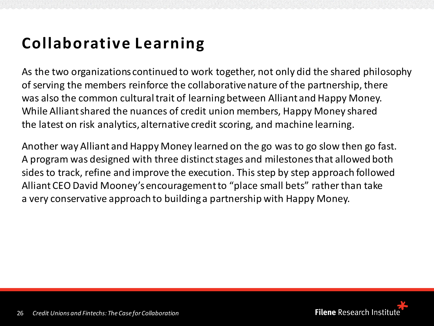#### **Collaborative Learning**

As the two organizations continued to work together, not only did the shared philosophy of serving the members reinforce the collaborative nature of the partnership, there was also the common cultural trait of learning between Alliant and Happy Money. While Alliant shared the nuances of credit union members, Happy Money shared the latest on risk analytics, alternative credit scoring, and machine learning.

Another way Alliant and Happy Money learned on the go was to go slow then go fast. A program was designed with three distinct stages and milestones that allowed both sides to track, refine and improve the execution. This step by step approach followed Alliant CEO David Mooney's encouragement to "place small bets" rather than take a very conservative approach to building a partnership with Happy Money.

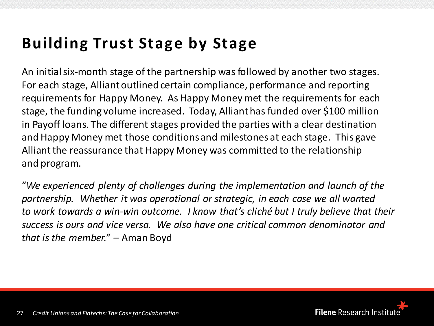#### **Building Trust Stage by Stage**

An initial six-month stage of the partnership was followed by another two stages. For each stage, Alliant outlined certain compliance, performance and reporting requirements for Happy Money. As Happy Money met the requirements for each stage, the funding volume increased. Today, Alliant has funded over \$100 million in Payoff loans. The different stages provided the parties with a clear destination and Happy Money met those conditions and milestones at each stage. This gave Alliant the reassurance that Happy Money was committed to the relationship and program.

"*We experienced plenty of challenges during the implementation and launch of the partnership. Whether it was operational or strategic, in each case we all wanted to work towards a win-win outcome. I know that's cliché but I truly believe that their success is ours and vice versa. We also have one critical common denominator and that is the member." –* Aman Boyd

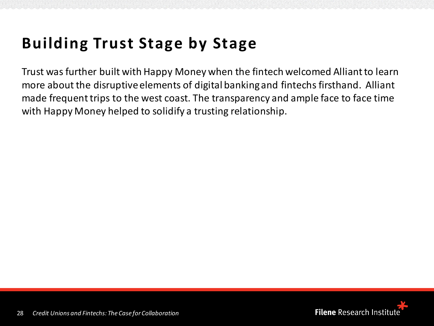#### **Building Trust Stage by Stage**

Trust was further built with Happy Money when the fintech welcomed Alliant to learn more about the disruptive elements of digital banking and fintechs firsthand. Alliant made frequent trips to the west coast. The transparency and ample face to face time with Happy Money helped to solidify a trusting relationship.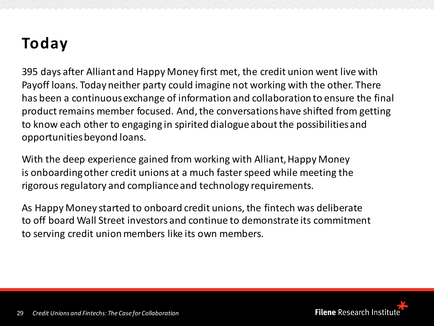### **Today**

395 days after Alliant and Happy Money first met, the credit union went live with Payoff loans. Today neither party could imagine not working with the other. There has been a continuous exchange of information and collaboration to ensure the final product remains member focused. And, the conversations have shifted from getting to know each other to engaging in spirited dialogue about the possibilities and opportunities beyond loans.

With the deep experience gained from working with Alliant, Happy Money is onboarding other credit unions at a much faster speed while meeting the rigorous regulatory and compliance and technology requirements.

As Happy Money started to onboard credit unions, the fintech was deliberate to off board Wall Street investors and continue to demonstrate its commitment to serving credit union members like its own members.

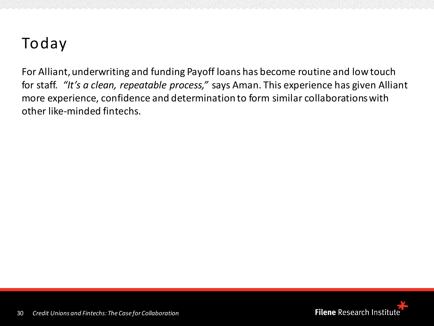#### Today

For Alliant, underwriting and funding Payoff loans has become routine and low touch for staff. *"It's a clean, repeatable process,"* says Aman. This experience has given Alliant more experience, confidence and determination to form similar collaborations with other like-minded fintechs.

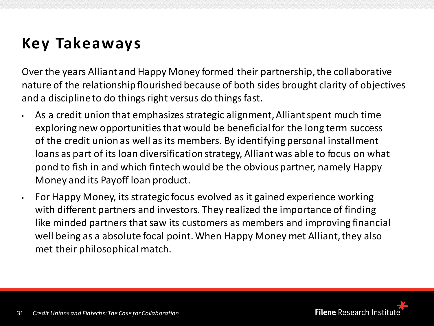### **Key Takeaways**

Over the years Alliant and Happy Money formed their partnership, the collaborative nature of the relationship flourished because of both sides brought clarity of objectives and a discipline to do things right versus do things fast.

- As a credit union that emphasizes strategic alignment, Alliant spent much time exploring new opportunities that would be beneficial for the long term success of the credit union as well as its members. By identifying personal installment loans as part of its loan diversification strategy, Alliant was able to focus on what pond to fish in and which fintech would be the obvious partner, namely Happy Money and its Payoff loan product.
- For Happy Money, its strategic focus evolved as it gained experience working with different partners and investors. They realized the importance of finding like minded partners that saw its customers as members and improving financial well being as a absolute focal point. When Happy Money met Alliant, they also met their philosophical match.

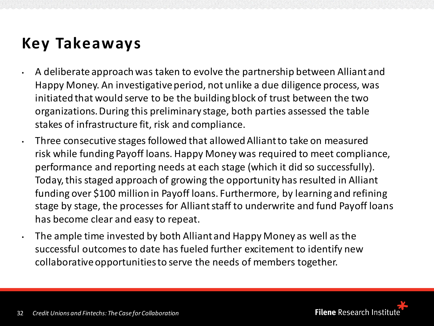### **Key Takeaways**

- A deliberate approach was taken to evolve the partnership between Alliant and Happy Money. An investigative period, not unlike a due diligence process, was initiated that would serve to be the building block of trust between the two organizations. During this preliminary stage, both parties assessed the table stakes of infrastructure fit, risk and compliance.
- Three consecutive stages followed that allowed Alliant to take on measured risk while funding Payoff loans. Happy Money was required to meet compliance, performance and reporting needs at each stage (which it did so successfully). Today, this staged approach of growing the opportunity has resulted in Alliant funding over \$100 million in Payoff loans. Furthermore, by learning and refining stage by stage, the processes for Alliant staff to underwrite and fund Payoff loans has become clear and easy to repeat.
	- The ample time invested by both Alliant and Happy Money as well as the successful outcomes to date has fueled further excitement to identify new collaborative opportunities to serve the needs of members together.

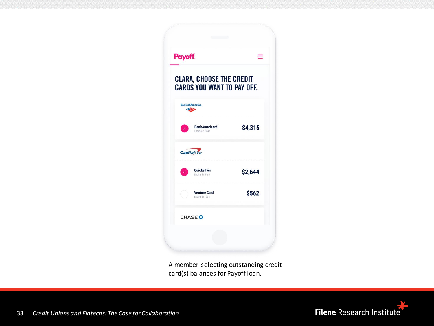| <b>CLARA, CHOOSE THE CREDIT</b>        |                                   |
|----------------------------------------|-----------------------------------|
|                                        | <b>CARDS YOU WANT TO PAY OFF.</b> |
| <b>Bank of America.</b><br>m           |                                   |
| <b>BankAmericard</b><br>Ending in 2247 | \$4,315                           |
| <b>Capital</b> One                     |                                   |
| <b>Quicksilver</b><br>Ending in 5466   | \$2,644                           |
| <b>Venture Card</b><br>Ending in 1238  | \$562                             |
| <b>CHASE O</b>                         |                                   |

A member selecting outstanding credit card(s) balances for Payoff loan.

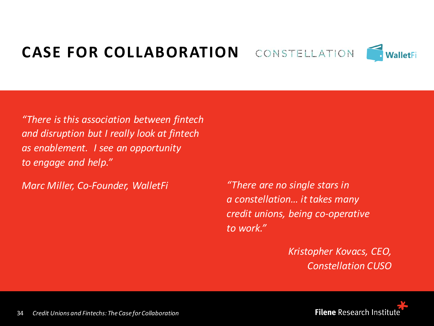#### **CASE FOR COLLABORATION**



*"There is this association between fintech and disruption but I really look at fintech as enablement. I see an opportunity to engage and help."* 

*Marc Miller, Co-Founder, WalletFi*

*"There are no single stars in a constellation… it takes many credit unions, being co-operative to work."*

> *Kristopher Kovacs, CEO, Constellation CUSO*

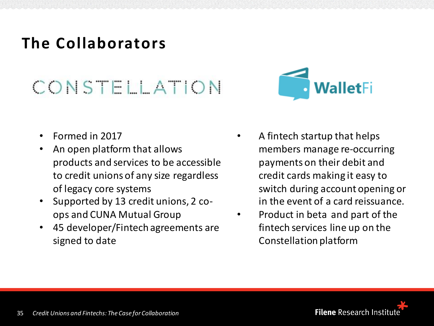#### **The Collaborators**

## CONSTELLATION

- Formed in 2017
- An open platform that allows products and services to be accessible to credit unions of any size regardless of legacy core systems
- Supported by 13 credit unions, 2 coops and CUNA Mutual Group
- 45 developer/Fintech agreements are signed to date



- A fintech startup that helps members manage re-occurring payments on their debit and credit cards making it easy to switch during account opening or in the event of a card reissuance.
- Product in beta and part of the fintech services line up on the Constellation platform

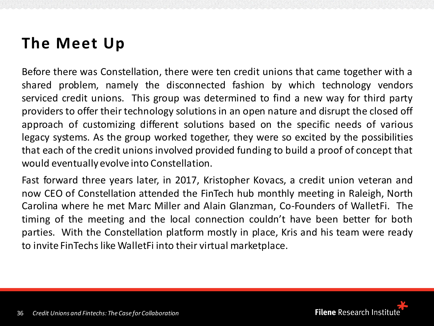#### **The Meet Up**

Before there was Constellation, there were ten credit unions that came together with a shared problem, namely the disconnected fashion by which technology vendors serviced credit unions. This group was determined to find a new way for third party providers to offer their technology solutions in an open nature and disrupt the closed off approach of customizing different solutions based on the specific needs of various legacy systems. As the group worked together, they were so excited by the possibilities that each of the credit unionsinvolved provided funding to build a proof of concept that would eventually evolve into Constellation.

Fast forward three years later, in 2017, Kristopher Kovacs, a credit union veteran and now CEO of Constellation attended the FinTech hub monthly meeting in Raleigh, North Carolina where he met Marc Miller and Alain Glanzman, Co-Founders of WalletFi. The timing of the meeting and the local connection couldn't have been better for both parties. With the Constellation platform mostly in place, Kris and his team were ready to invite FinTechs like WalletFi into their virtual marketplace.

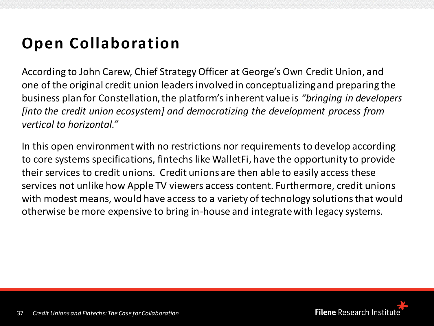#### **Open Collaboration**

According to John Carew, Chief Strategy Officer at George's Own Credit Union, and one of the original credit union leaders involved in conceptualizing and preparing the business plan for Constellation, the platform's inherent value is *"bringing in developers [into the credit union ecosystem] and democratizing the development process from vertical to horizontal."*

In this open environment with no restrictions nor requirements to develop according to core systems specifications, fintechs like WalletFi, have the opportunity to provide their services to credit unions. Credit unions are then able to easily access these services not unlike how Apple TV viewers access content. Furthermore, credit unions with modest means, would have access to a variety of technology solutions that would otherwise be more expensive to bring in-house and integrate with legacy systems.

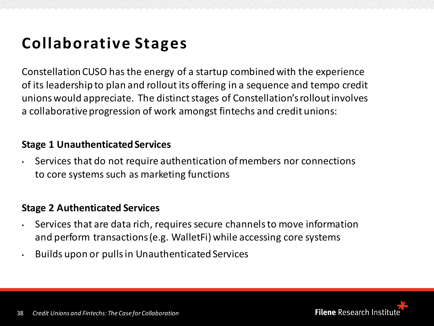#### **Collaborative Stages**

Constellation CUSO has the energy of a startup combined with the experience of its leadership to plan and rollout its offering in a sequence and tempo credit unions would appreciate. The distinct stages of Constellation's rollout involves a collaborative progression of work amongst fintechs and credit unions:

#### **Stage 1 Unauthenticated Services**

• Services that do not require authentication of members nor connections to core systems such as marketing functions

#### **Stage 2 Authenticated Services**

- Services that are data rich, requires secure channels to move information and perform transactions (e.g. WalletFi) while accessing core systems
- Builds upon or pulls in Unauthenticated Services

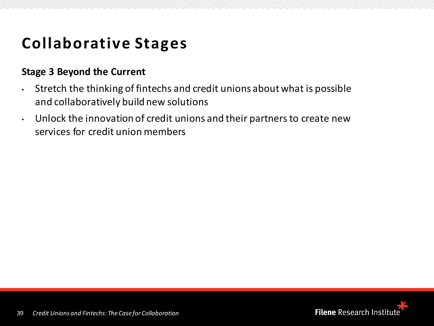#### **Collaborative Stages**

#### **Stage 3 Beyond the Current**

- Stretch the thinking of fintechs and credit unions about what is possible and collaboratively build new solutions
- Unlock the innovation of credit unions and their partners to create new services for credit union members

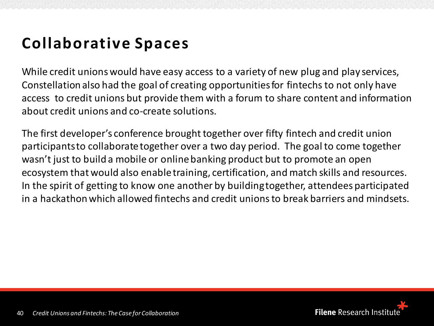#### **Collaborative Spaces**

While credit unions would have easy access to a variety of new plug and play services, Constellation also had the goal of creating opportunities for fintechs to not only have access to credit unions but provide them with a forum to share content and information about credit unions and co-create solutions.

The first developer's conference brought together over fifty fintech and credit union participants to collaborate together over a two day period. The goal to come together wasn't just to build a mobile or online banking product but to promote an open ecosystem that would also enable training, certification, and match skills and resources. In the spirit of getting to know one another by building together, attendees participated in a hackathon which allowed fintechs and credit unions to break barriers and mindsets.

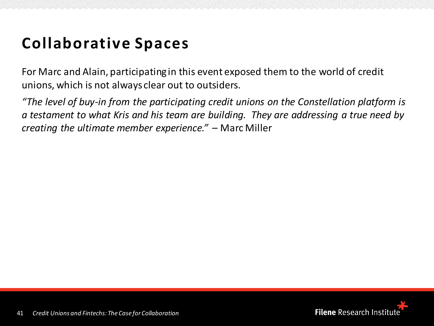#### **Collaborative Spaces**

For Marc and Alain, participating in this event exposed them to the world of credit unions, which is not always clear out to outsiders.

*"The level of buy-in from the participating credit unions on the Constellation platform is a testament to what Kris and his team are building. They are addressing a true need by creating the ultimate member experience." –* Marc Miller

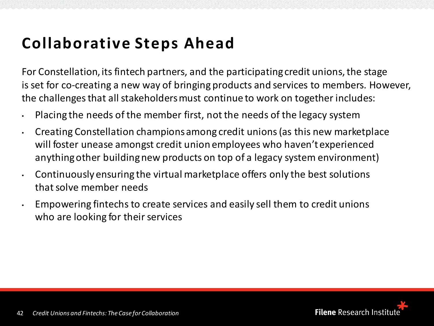#### **Collaborative Steps Ahead**

For Constellation, its fintech partners, and the participating credit unions, the stage is set for co-creating a new way of bringing products and services to members. However, the challenges that all stakeholders must continue to work on together includes:

- Placing the needs of the member first, notthe needs of the legacy system
- Creating Constellation champions among credit unions (as this new marketplace will foster unease amongst credit union employees who haven't experienced anything other building new products on top of a legacy system environment)
- Continuously ensuring the virtual marketplace offers only the best solutions that solve member needs
- Empowering fintechsto create services and easily sell them to credit unions who are looking for their services

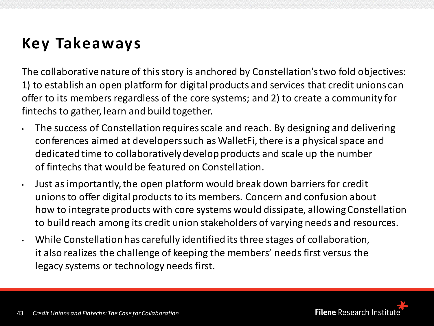### **Key Takeaways**

The collaborative nature of this story is anchored by Constellation's two fold objectives: 1) to establish an open platform for digital products and services that credit unions can offer to its members regardless of the core systems; and 2) to create a community for fintechs to gather, learn and build together.

- The success of Constellation requires scale and reach. By designing and delivering conferences aimed at developers such as WalletFi, there is a physical space and dedicated time to collaboratively develop products and scale up the number of fintechs that would be featured on Constellation.
- Just as importantly, the open platform would break down barriers for credit unions to offer digital products to its members. Concern and confusion about how to integrate products with core systems would dissipate, allowing Constellation to build reach among its credit union stakeholders of varying needs and resources.
- While Constellation has carefully identified its three stages of collaboration, it also realizes the challenge of keeping the members' needs first versus the legacy systems or technology needs first.

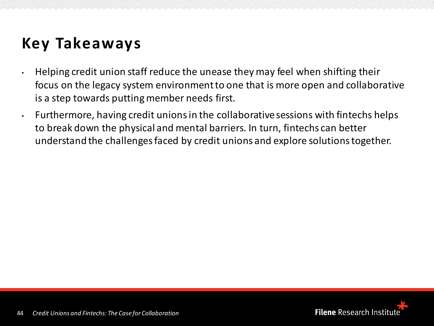### **Key Takeaways**

- Helping credit union staff reduce the unease they may feel when shifting their focus on the legacy system environment to one that is more open and collaborative is a step towards putting member needs first.
- $\cdot$  Furthermore, having credit unions in the collaborative sessions with fintechs helps to break down the physical and mental barriers. In turn, fintechs can better understand the challenges faced by credit unions and explore solutions together.

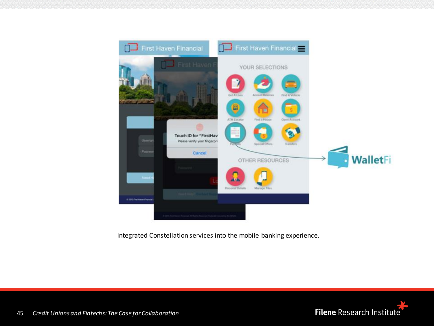

Integrated Constellation services into the mobile banking experience.

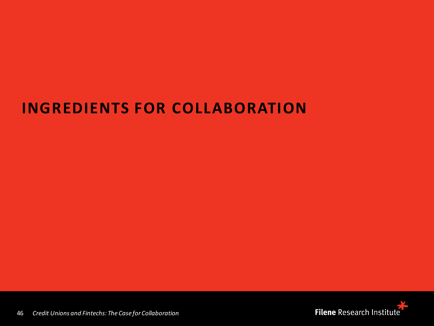### **INGREDIENTS FOR COLLABORATION**

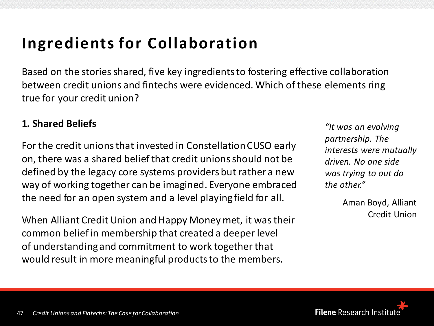Based on the stories shared, five key ingredients to fostering effective collaboration between credit unions and fintechs were evidenced. Which of these elements ring true for your credit union?

#### **1. Shared Beliefs**

For the credit unions that invested in Constellation CUSO early on, there was a shared belief that credit unions should not be defined by the legacy core systems providers but rather a new way of working together can be imagined. Everyone embraced the need for an open system and a level playing field for all.

When Alliant Credit Union and Happy Money met, it was their common belief in membership that created a deeper level of understanding and commitment to work together that would result in more meaningful products to the members.

*"It was an evolving partnership. The interests were mutually driven. No one side was trying to out do the other."* 

> Aman Boyd, Alliant Credit Union

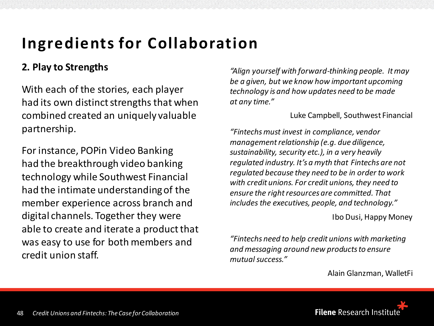#### **2. Play to Strengths**

With each of the stories, each player had its own distinct strengths that when combined created an uniquely valuable partnership.

For instance, POPin Video Banking had the breakthrough video banking technology while Southwest Financial had the intimate understanding of the member experience across branch and digital channels. Together they were able to create and iterate a product that was easy to use for both members and credit union staff.

*"Align yourself with forward-thinking people. It may be a given, but we know how important upcoming technology is and how updates need to be made at any time."* 

Luke Campbell, Southwest Financial

*"Fintechsmust invest in compliance, vendor management relationship (e.g. due diligence, sustainability, security etc.), in a very heavily regulated industry. It's a myth that Fintechs are not regulated because they need to be in order to work with credit unions. For credit unions, they need to ensure the right resources are committed. That includes the executives, people, and technology."*

Ibo Dusi, Happy Money

*"Fintechs need to help credit unions with marketing and messaging around new products to ensure mutual success."* 

Alain Glanzman, WalletFi

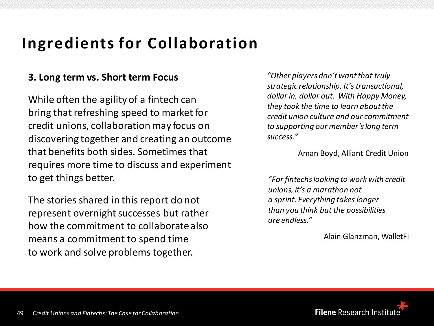#### **3. Long term vs. Short term Focus**

While often the agility of a fintech can bring that refreshing speed to market for credit unions, collaboration may focus on discovering together and creating an outcome that benefits both sides. Sometimes that requires more time to discuss and experiment to get things better.

The stories shared in this report do not represent overnight successes but rather how the commitment to collaborate also means a commitment to spend time to work and solve problems together.

*"Other players don't want that truly strategic relationship. It's transactional, dollar in, dollar out. With Happy Money, they took the time to learn about the credit union culture and our commitment to supporting our member's long term success."* 

Aman Boyd, Alliant Credit Union

*"For fintechslooking to work with credit unions, it's a marathon not a sprint. Everything takes longer than you think but the possibilities are endless."* 

Alain Glanzman, WalletFi

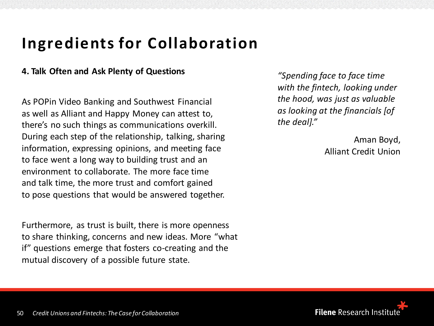#### **4. Talk Often and Ask Plenty of Questions**

As POPin Video Banking and Southwest Financial as well as Alliant and Happy Money can attest to, there's no such things as communications overkill. During each step of the relationship, talking, sharing information, expressing opinions, and meeting face to face went a long way to building trust and an environment to collaborate. The more face time and talk time, the more trust and comfort gained to pose questions that would be answered together.

Furthermore, as trust is built, there is more openness to share thinking, concerns and new ideas. More "what if" questions emerge that fosters co-creating and the mutual discovery of a possible future state.

*"Spending face to face time with the fintech, looking under the hood, was just as valuable as looking at the financials [of the deal]."* 

> Aman Boyd, Alliant Credit Union

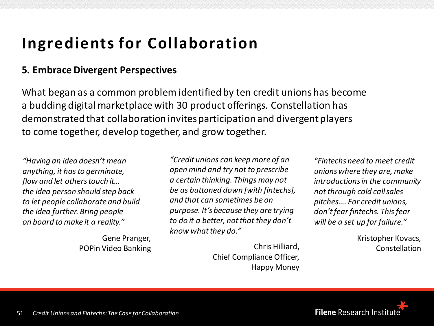#### **5. Embrace Divergent Perspectives**

What began as a common problem identified by ten credit unions has become a budding digital marketplace with 30 product offerings. Constellation has demonstrated that collaboration invites participation and divergent players to come together, develop together, and grow together.

*"Having an idea doesn't mean anything, it has to germinate, flow and let others touch it… the idea person should step back to let people collaborate and build the idea further. Bring people on board to make it a reality."* 

> Gene Pranger, POPin Video Banking

*"Credit unions can keep more of an open mind and try not to prescribe a certain thinking. Things may not be as buttoned down [with fintechs], and that can sometimes be on purpose. It's because they are trying to do it a better, not that they don't know what they do."*

> Chris Hilliard, Chief Compliance Officer, Happy Money

*"Fintechs need to meet credit unions where they are, make introductions in the community not through cold call sales pitches…. For credit unions, don't fear fintechs. This fear will be a set up for failure."* 

> Kristopher Kovacs, Constellation

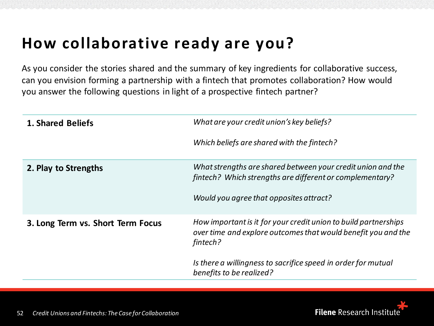### **How collaborative ready are you?**

As you consider the stories shared and the summary of key ingredients for collaborative success, can you envision forming a partnership with a fintech that promotes collaboration? How would you answer the following questions in light of a prospective fintech partner?

| <b>1. Shared Beliefs</b>          | What are your credit union's key beliefs?<br>Which beliefs are shared with the fintech?                                                                                                                                                   |
|-----------------------------------|-------------------------------------------------------------------------------------------------------------------------------------------------------------------------------------------------------------------------------------------|
| 2. Play to Strengths              | What strengths are shared between your credit union and the<br>fintech? Which strengths are different or complementary?<br>Would you agree that opposites attract?                                                                        |
| 3. Long Term vs. Short Term Focus | How important is it for your credit union to build partnerships<br>over time and explore outcomes that would benefit you and the<br>fintech?<br>Is there a willingness to sacrifice speed in order for mutual<br>benefits to be realized? |

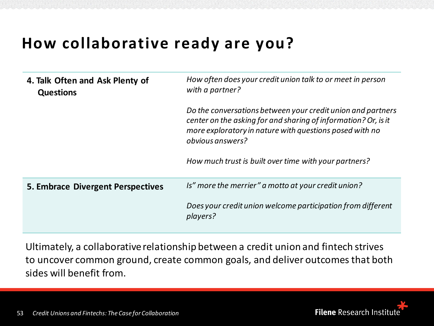#### **How collaborative ready are you?**

| 4. Talk Often and Ask Plenty of<br><b>Questions</b> | How often does your credit union talk to or meet in person<br>with a partner?                                                                                                                                                                                         |
|-----------------------------------------------------|-----------------------------------------------------------------------------------------------------------------------------------------------------------------------------------------------------------------------------------------------------------------------|
|                                                     | Do the conversations between your credit union and partners<br>center on the asking for and sharing of information? Or, is it<br>more exploratory in nature with questions posed with no<br>obvious answers?<br>How much trust is built over time with your partners? |
|                                                     |                                                                                                                                                                                                                                                                       |
| 5. Embrace Divergent Perspectives                   | Is" more the merrier" a motto at your credit union?<br>Does your credit union welcome participation from different                                                                                                                                                    |
|                                                     | players?                                                                                                                                                                                                                                                              |

Ultimately, a collaborative relationship between a credit union and fintech strives to uncover common ground, create common goals, and deliver outcomes that both sides will benefit from.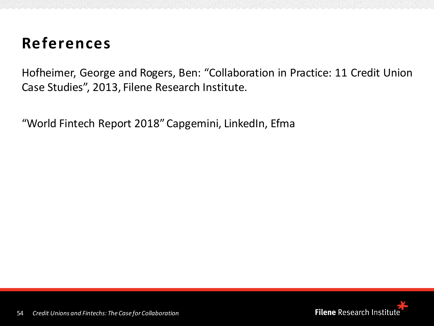#### **References**

Hofheimer, George and Rogers, Ben: "Collaboration in Practice: 11 Credit Union Case Studies", 2013, Filene Research Institute.

"World Fintech Report 2018" Capgemini, LinkedIn, Efma

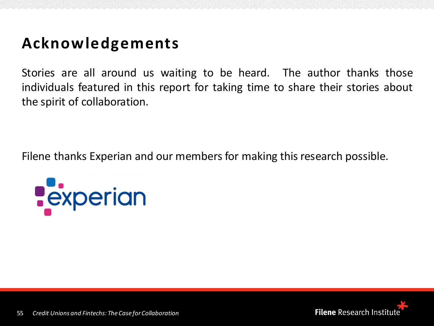#### **Acknowledgements**

Stories are all around us waiting to be heard. The author thanks those individuals featured in this report for taking time to share their stories about the spirit of collaboration.

Filene thanks Experian and our members for making this research possible.



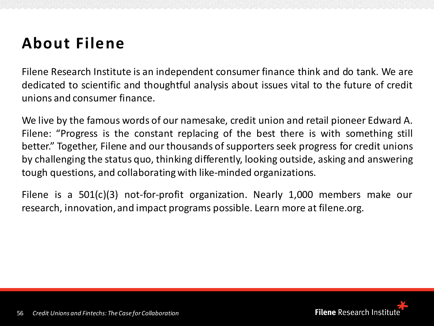#### **About Filene**

Filene Research Institute is an independent consumer finance think and do tank. We are dedicated to scientific and thoughtful analysis about issues vital to the future of credit unions and consumer finance.

We live by the famous words of our namesake, credit union and retail pioneer Edward A. Filene: "Progress is the constant replacing of the best there is with something still better." Together, Filene and our thousands of supporters seek progress for credit unions by challenging the status quo, thinking differently, looking outside, asking and answering tough questions, and collaboratingwith like-minded organizations.

Filene is a 501(c)(3) not-for-profit organization. Nearly 1,000 members make our research, innovation, and impact programs possible. Learn more at filene.org.